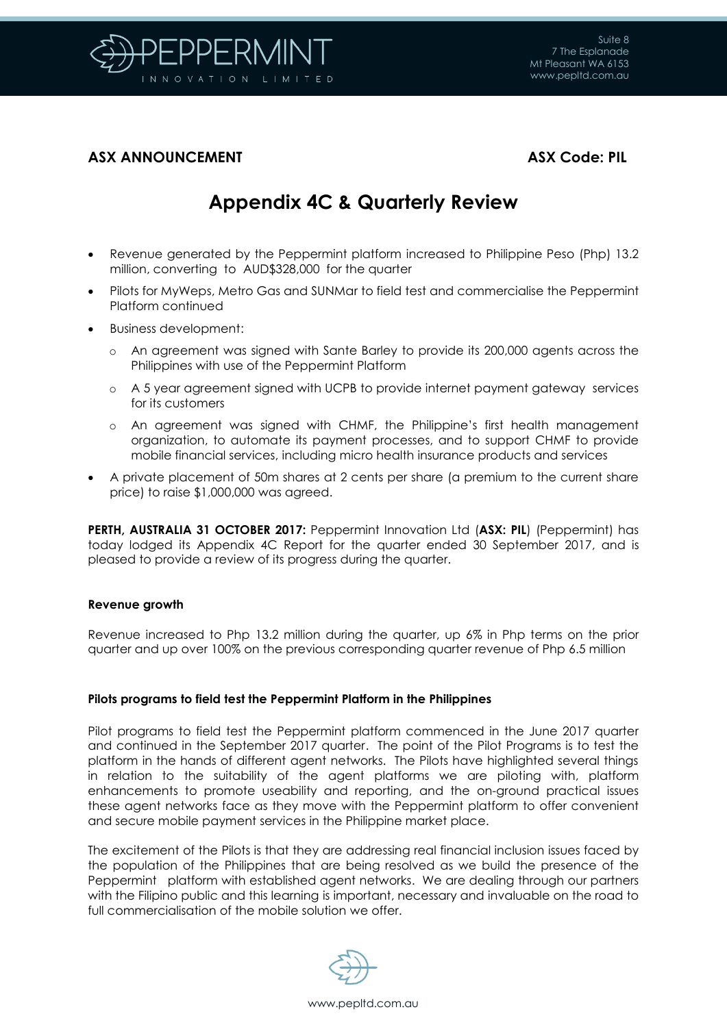

# **ASX ANNOUNCEMENT ASX Code: PIL**

# **Appendix 4C & Quarterly Review**

- Revenue generated by the Peppermint platform increased to Philippine Peso (Php) 13.2 million, converting to AUD\$328,000 for the quarter
- Pilots for MyWeps, Metro Gas and SUNMar to field test and commercialise the Peppermint Platform continued
- Business development:
	- o An agreement was signed with Sante Barley to provide its 200,000 agents across the Philippines with use of the Peppermint Platform
	- o A 5 year agreement signed with UCPB to provide internet payment gateway services for its customers
	- o An agreement was signed with CHMF, the Philippine's first health management organization, to automate its payment processes, and to support CHMF to provide mobile financial services, including micro health insurance products and services
- A private placement of 50m shares at 2 cents per share (a premium to the current share price) to raise \$1,000,000 was agreed.

**PERTH, AUSTRALIA 31 OCTOBER 2017:** Peppermint Innovation Ltd (**ASX: PIL**) (Peppermint) has today lodged its Appendix 4C Report for the quarter ended 30 September 2017, and is pleased to provide a review of its progress during the quarter.

#### **Revenue growth**

Revenue increased to Php 13.2 million during the quarter, up 6% in Php terms on the prior quarter and up over 100% on the previous corresponding quarter revenue of Php 6.5 million

#### **Pilots programs to field test the Peppermint Platform in the Philippines**

Pilot programs to field test the Peppermint platform commenced in the June 2017 quarter and continued in the September 2017 quarter. The point of the Pilot Programs is to test the platform in the hands of different agent networks. The Pilots have highlighted several things in relation to the suitability of the agent platforms we are piloting with, platform enhancements to promote useability and reporting, and the on-ground practical issues these agent networks face as they move with the Peppermint platform to offer convenient and secure mobile payment services in the Philippine market place.

The excitement of the Pilots is that they are addressing real financial inclusion issues faced by the population of the Philippines that are being resolved as we build the presence of the Peppermint platform with established agent networks. We are dealing through our partners with the Filipino public and this learning is important, necessary and invaluable on the road to full commercialisation of the mobile solution we offer.



www.pepltd.com.au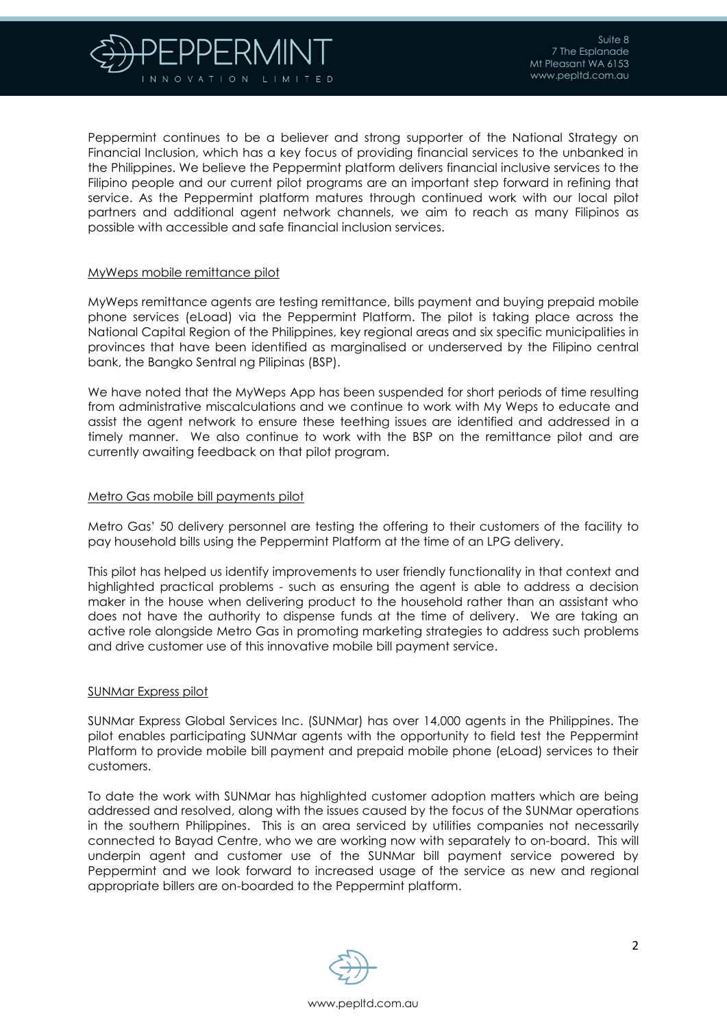

Peppermint continues to be a believer and strong supporter of the National Strategy on Financial Inclusion, which has a key focus of providing financial services to the unbanked in the Philippines. We believe the Peppermint platform delivers financial inclusive services to the Filipino people and our current pilot programs are an important step forward in refining that service. As the Peppermint platform matures through continued work with our local pilot partners and additional agent network channels, we aim to reach as many Filipinos as possible with accessible and safe financial inclusion services.

#### MyWeps mobile remittance pilot

MyWeps remittance agents are testing remittance, bills payment and buying prepaid mobile phone services (eLoad) via the Peppermint Platform. The pilot is taking place across the National Capital Region of the Philippines, key regional areas and six specific municipalities in provinces that have been identified as marginalised or underserved by the Filipino central bank, the Bangko Sentral ng Pilipinas (BSP).

We have noted that the MyWeps App has been suspended for short periods of time resulting from administrative miscalculations and we continue to work with My Weps to educate and assist the agent network to ensure these teething issues are identified and addressed in a timely manner. We also continue to work with the BSP on the remittance pilot and are currently awaiting feedback on that pilot program.

#### Metro Gas mobile bill payments pilot

Metro Gas' 50 delivery personnel are testing the offering to their customers of the facility to pay household bills using the Peppermint Platform at the time of an LPG delivery.

This pilot has helped us identify improvements to user friendly functionality in that context and highlighted practical problems - such as ensuring the agent is able to address a decision maker in the house when delivering product to the household rather than an assistant who does not have the authority to dispense funds at the time of delivery. We are taking an active role alongside Metro Gas in promoting marketing strategies to address such problems and drive customer use of this innovative mobile bill payment service.

#### SUNMar Express pilot

SUNMar Express Global Services Inc. (SUNMar) has over 14,000 agents in the Philippines. The pilot enables participating SUNMar agents with the opportunity to field test the Peppermint Platform to provide mobile bill payment and prepaid mobile phone (eLoad) services to their customers.

To date the work with SUNMar has highlighted customer adoption matters which are being addressed and resolved, along with the issues caused by the focus of the SUNMar operations in the southern Philippines. This is an area serviced by utilities companies not necessarily connected to Bayad Centre, who we are working now with separately to on-board. This will underpin agent and customer use of the SUNMar bill payment service powered by Peppermint and we look forward to increased usage of the service as new and regional appropriate billers are on-boarded to the Peppermint platform.

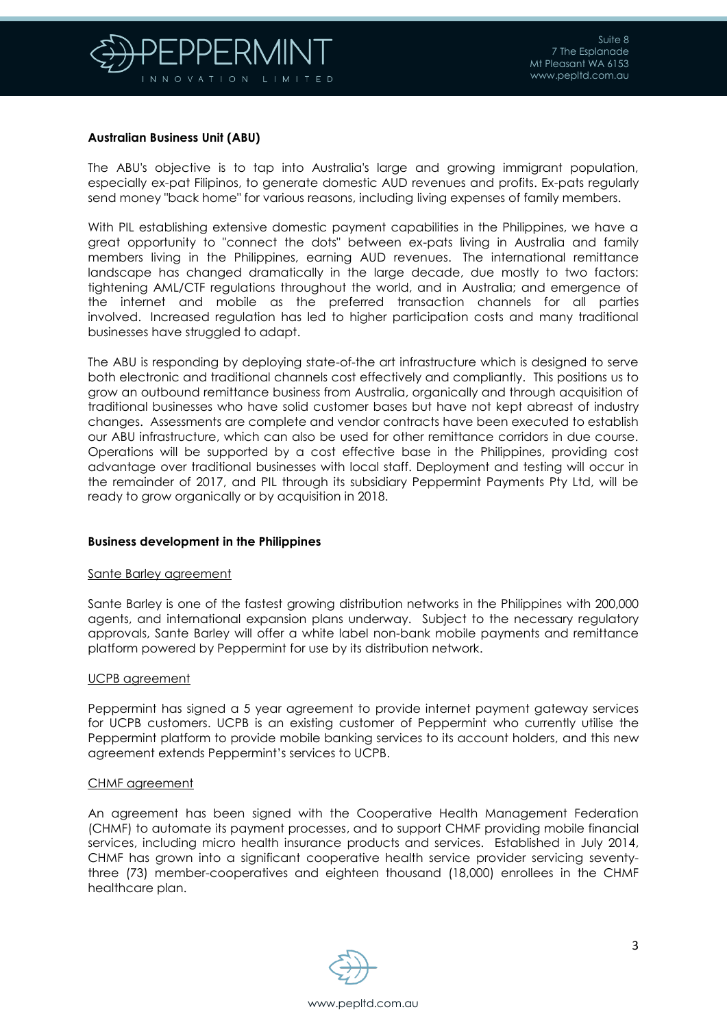

### **Australian Business Unit (ABU)**

The ABU's objective is to tap into Australia's large and growing immigrant population, especially ex-pat Filipinos, to generate domestic AUD revenues and profits. Ex-pats regularly send money "back home" for various reasons, including living expenses of family members.

With PIL establishing extensive domestic payment capabilities in the Philippines, we have a great opportunity to "connect the dots" between ex-pats living in Australia and family members living in the Philippines, earning AUD revenues. The international remittance landscape has changed dramatically in the large decade, due mostly to two factors: tightening AML/CTF regulations throughout the world, and in Australia; and emergence of the internet and mobile as the preferred transaction channels for all parties involved. Increased regulation has led to higher participation costs and many traditional businesses have struggled to adapt.

The ABU is responding by deploying state-of-the art infrastructure which is designed to serve both electronic and traditional channels cost effectively and compliantly. This positions us to grow an outbound remittance business from Australia, organically and through acquisition of traditional businesses who have solid customer bases but have not kept abreast of industry changes. Assessments are complete and vendor contracts have been executed to establish our ABU infrastructure, which can also be used for other remittance corridors in due course. Operations will be supported by a cost effective base in the Philippines, providing cost advantage over traditional businesses with local staff. Deployment and testing will occur in the remainder of 2017, and PIL through its subsidiary Peppermint Payments Pty Ltd, will be ready to grow organically or by acquisition in 2018.

### **Business development in the Philippines**

#### Sante Barley agreement

Sante Barley is one of the fastest growing distribution networks in the Philippines with 200,000 agents, and international expansion plans underway. Subject to the necessary regulatory approvals, Sante Barley will offer a white label non-bank mobile payments and remittance platform powered by Peppermint for use by its distribution network.

#### UCPB agreement

Peppermint has signed a 5 year agreement to provide internet payment gateway services for UCPB customers. UCPB is an existing customer of Peppermint who currently utilise the Peppermint platform to provide mobile banking services to its account holders, and this new agreement extends Peppermint's services to UCPB.

#### CHMF agreement

An agreement has been signed with the Cooperative Health Management Federation (CHMF) to automate its payment processes, and to support CHMF providing mobile financial services, including micro health insurance products and services. Established in July 2014, CHMF has grown into a significant cooperative health service provider servicing seventythree (73) member-cooperatives and eighteen thousand (18,000) enrollees in the CHMF healthcare plan.

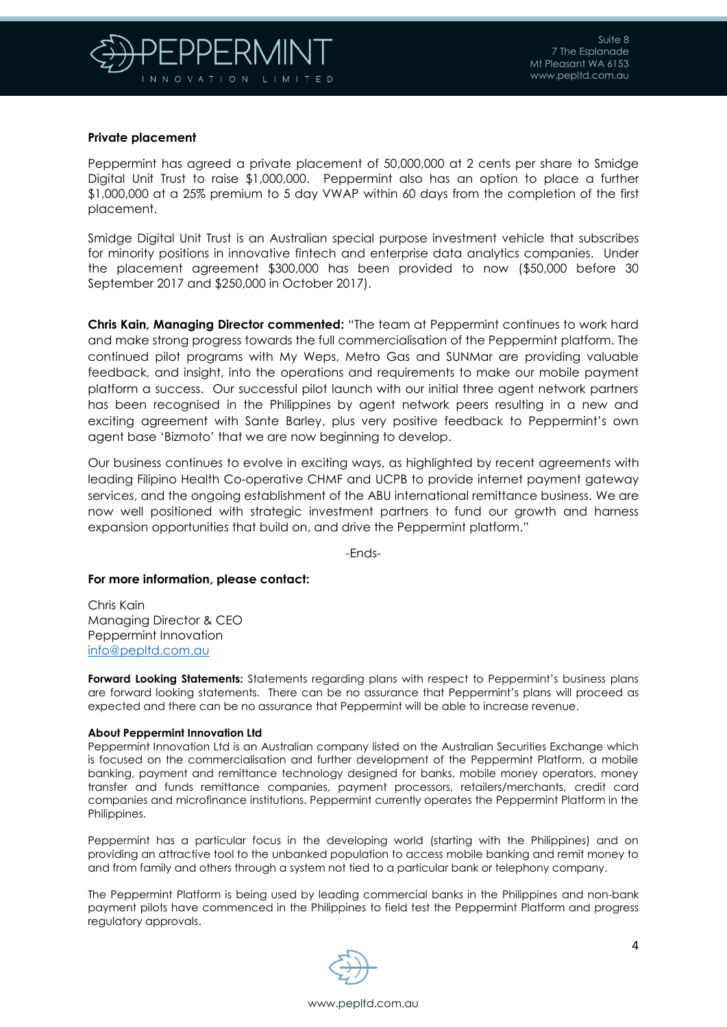

#### **Private placement**

Peppermint has agreed a private placement of 50,000,000 at 2 cents per share to Smidge Digital Unit Trust to raise \$1,000,000. Peppermint also has an option to place a further \$1,000,000 at a 25% premium to 5 day VWAP within 60 days from the completion of the first placement.

Smidge Digital Unit Trust is an Australian special purpose investment vehicle that subscribes for minority positions in innovative fintech and enterprise data analytics companies. Under the placement agreement \$300,000 has been provided to now (\$50,000 before 30 September 2017 and \$250,000 in October 2017).

**Chris Kain, Managing Director commented:** "The team at Peppermint continues to work hard and make strong progress towards the full commercialisation of the Peppermint platform. The continued pilot programs with My Weps, Metro Gas and SUNMar are providing valuable feedback, and insight, into the operations and requirements to make our mobile payment platform a success. Our successful pilot launch with our initial three agent network partners has been recognised in the Philippines by agent network peers resulting in a new and exciting agreement with Sante Barley, plus very positive feedback to Peppermint's own agent base 'Bizmoto' that we are now beginning to develop.

Our business continues to evolve in exciting ways, as highlighted by recent agreements with leading Filipino Health Co-operative CHMF and UCPB to provide internet payment gateway services, and the ongoing establishment of the ABU international remittance business. We are now well positioned with strategic investment partners to fund our growth and harness expansion opportunities that build on, and drive the Peppermint platform."

-Ends-

#### **For more information, please contact:**

Chris Kain Managing Director & CEO Peppermint Innovation [info@pepltd.com.au](mailto:info@pepltd.com.au)

**Forward Looking Statements:** Statements regarding plans with respect to Peppermint's business plans are forward looking statements. There can be no assurance that Peppermint's plans will proceed as expected and there can be no assurance that Peppermint will be able to increase revenue.

#### **About Peppermint Innovation Ltd**

Peppermint Innovation Ltd is an Australian company listed on the Australian Securities Exchange which is focused on the commercialisation and further development of the Peppermint Platform, a mobile banking, payment and remittance technology designed for banks, mobile money operators, money transfer and funds remittance companies, payment processors, retailers/merchants, credit card companies and microfinance institutions. Peppermint currently operates the Peppermint Platform in the Philippines.

Peppermint has a particular focus in the developing world (starting with the Philippines) and on providing an attractive tool to the unbanked population to access mobile banking and remit money to and from family and others through a system not tied to a particular bank or telephony company.

The Peppermint Platform is being used by leading commercial banks in the Philippines and non-bank payment pilots have commenced in the Philippines to field test the Peppermint Platform and progress regulatory approvals.

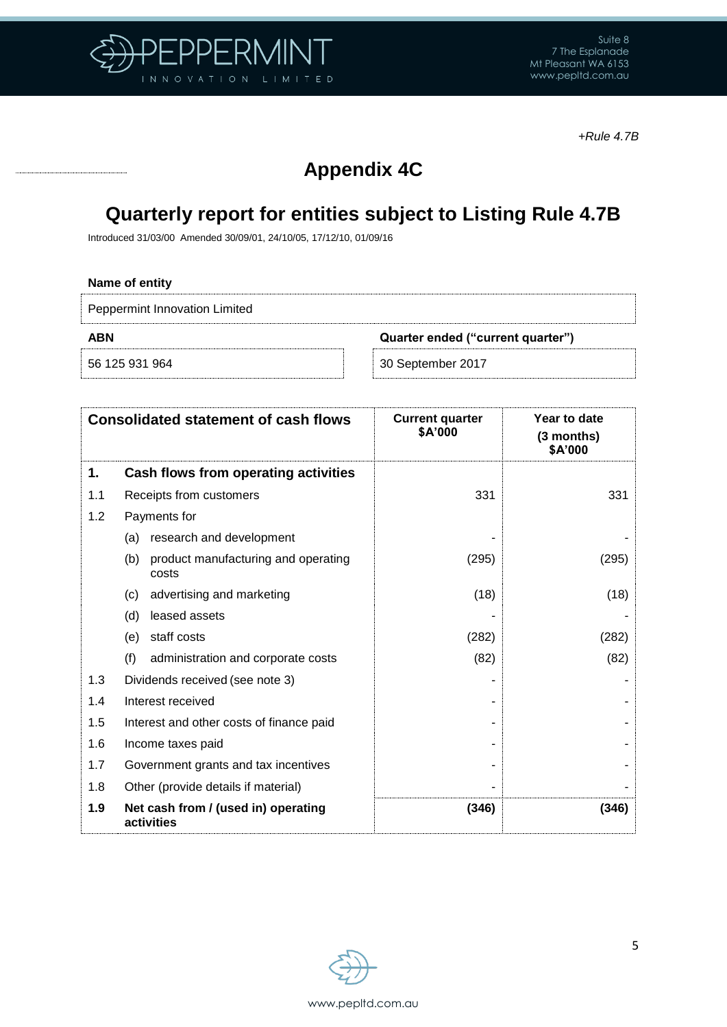

*+Rule 4.7B*

# **Appendix 4C**

# **Quarterly report for entities subject to Listing Rule 4.7B**

Introduced 31/03/00 Amended 30/09/01, 24/10/05, 17/12/10, 01/09/16

## **Name of entity**

Peppermint Innovation Limited

**ABN Quarter ended ("current quarter")**

56 125 931 964 30 September 2017

| <b>Consolidated statement of cash flows</b> |                                                     | <b>Current quarter</b><br>\$A'000 | Year to date<br>(3 months)<br>\$A'000 |
|---------------------------------------------|-----------------------------------------------------|-----------------------------------|---------------------------------------|
| 1.                                          | Cash flows from operating activities                |                                   |                                       |
| 1.1                                         | Receipts from customers                             | 331                               | 331                                   |
| 1.2                                         | Payments for                                        |                                   |                                       |
|                                             | research and development<br>(a)                     |                                   |                                       |
|                                             | (b)<br>product manufacturing and operating<br>costs | (295)                             | (295)                                 |
|                                             | advertising and marketing<br>(c)                    | (18)                              | (18)                                  |
|                                             | leased assets<br>(d)                                |                                   |                                       |
|                                             | staff costs<br>(e)                                  | (282)                             | (282)                                 |
|                                             | (f)<br>administration and corporate costs           | (82)                              | (82)                                  |
| 1.3                                         | Dividends received (see note 3)                     |                                   |                                       |
| 1.4                                         | Interest received                                   |                                   |                                       |
| 1.5                                         | Interest and other costs of finance paid            |                                   |                                       |
| 1.6                                         | Income taxes paid                                   |                                   |                                       |
| 1.7                                         | Government grants and tax incentives                |                                   |                                       |
| 1.8                                         | Other (provide details if material)                 |                                   |                                       |
| 1.9                                         | Net cash from / (used in) operating<br>activities   | (346)                             | (346)                                 |

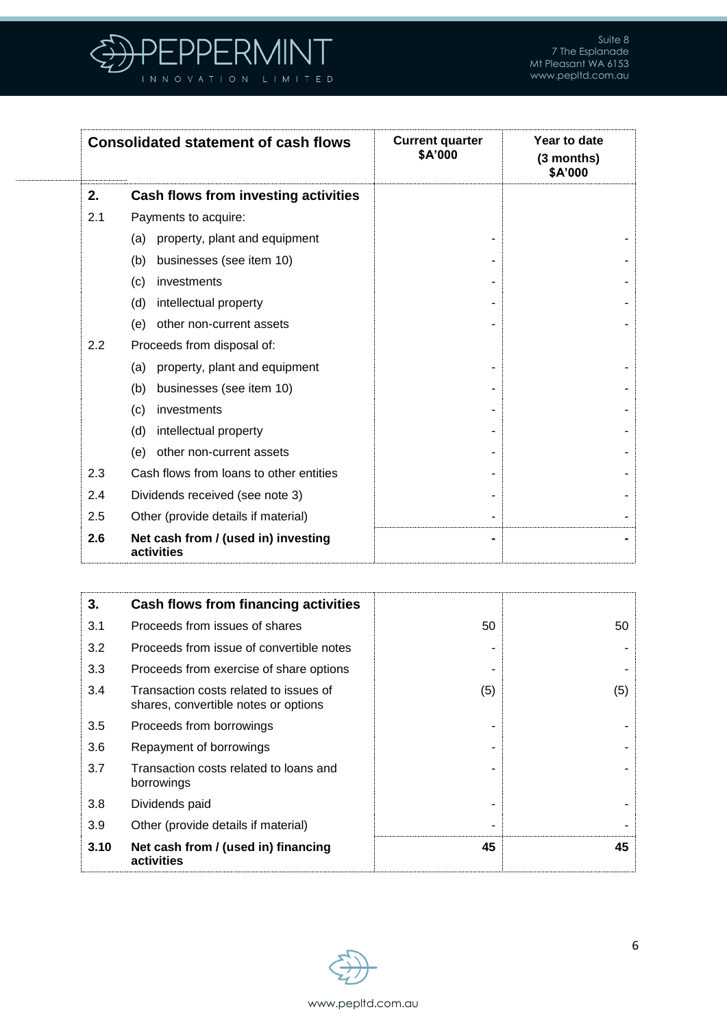

| <b>Consolidated statement of cash flows</b> |                                                   | <b>Current quarter</b><br>\$A'000 | Year to date<br>(3 months)<br>\$A'000 |
|---------------------------------------------|---------------------------------------------------|-----------------------------------|---------------------------------------|
| 2.                                          | Cash flows from investing activities              |                                   |                                       |
| 2.1                                         | Payments to acquire:                              |                                   |                                       |
|                                             | property, plant and equipment<br>(a)              |                                   |                                       |
|                                             | businesses (see item 10)<br>(b)                   |                                   |                                       |
|                                             | investments<br>(c)                                |                                   |                                       |
|                                             | intellectual property<br>(d)                      |                                   |                                       |
|                                             | other non-current assets<br>(e)                   |                                   |                                       |
| 2.2                                         | Proceeds from disposal of:                        |                                   |                                       |
|                                             | property, plant and equipment<br>(a)              |                                   |                                       |
|                                             | businesses (see item 10)<br>(b)                   |                                   |                                       |
|                                             | investments<br>(c)                                |                                   |                                       |
|                                             | intellectual property<br>(d)                      |                                   |                                       |
|                                             | other non-current assets<br>(e)                   |                                   |                                       |
| 2.3                                         | Cash flows from loans to other entities           |                                   |                                       |
| 2.4                                         | Dividends received (see note 3)                   |                                   |                                       |
| 2.5                                         | Other (provide details if material)               |                                   |                                       |
| 2.6                                         | Net cash from / (used in) investing<br>activities |                                   |                                       |

| 3.   | Cash flows from financing activities                                           |     |     |
|------|--------------------------------------------------------------------------------|-----|-----|
| 3.1  | Proceeds from issues of shares                                                 | 50  | 50  |
| 3.2  | Proceeds from issue of convertible notes                                       |     |     |
| 3.3  | Proceeds from exercise of share options                                        |     |     |
| 3.4  | Transaction costs related to issues of<br>shares, convertible notes or options | (5) | (5) |
| 3.5  | Proceeds from borrowings                                                       |     |     |
| 3.6  | Repayment of borrowings                                                        |     |     |
| 3.7  | Transaction costs related to loans and<br>borrowings                           |     |     |
| 3.8  | Dividends paid                                                                 |     |     |
| 3.9  | Other (provide details if material)                                            |     |     |
| 3.10 | Net cash from / (used in) financing<br>activities                              | 45  | 45  |

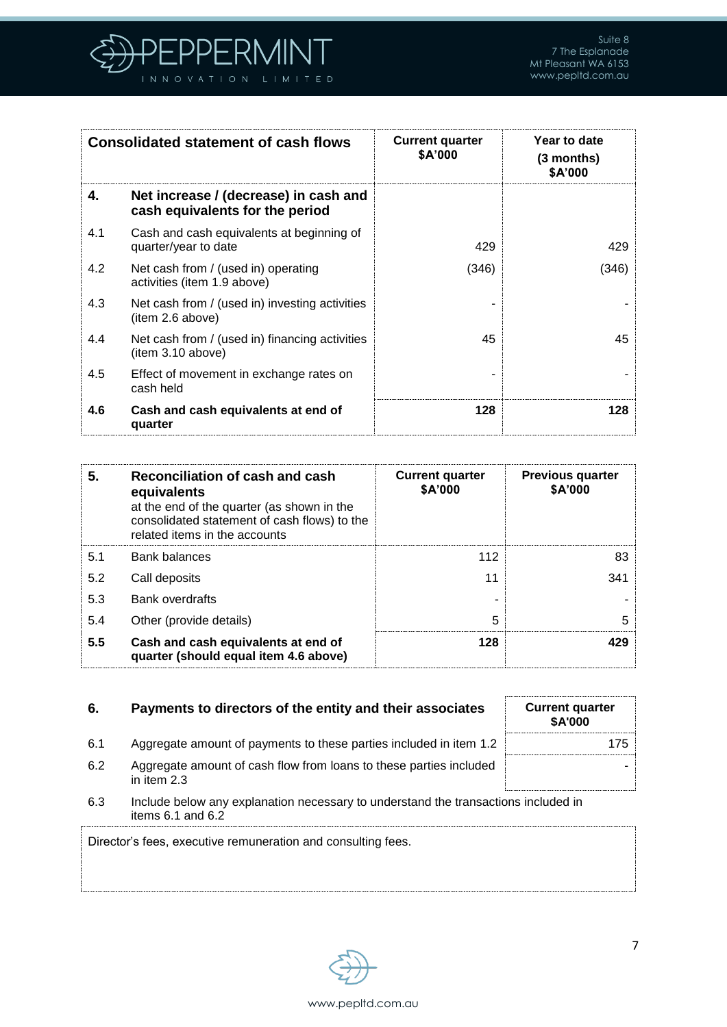

| <b>Consolidated statement of cash flows</b> |                                                                          | <b>Current quarter</b><br>\$A'000 | Year to date<br>(3 months)<br>\$A'000 |
|---------------------------------------------|--------------------------------------------------------------------------|-----------------------------------|---------------------------------------|
| 4.                                          | Net increase / (decrease) in cash and<br>cash equivalents for the period |                                   |                                       |
| 4.1                                         | Cash and cash equivalents at beginning of<br>quarter/year to date        | 429                               | 429                                   |
| 4.2                                         | Net cash from / (used in) operating<br>activities (item 1.9 above)       | (346)                             | (346)                                 |
| 4.3                                         | Net cash from / (used in) investing activities<br>(item 2.6 above)       |                                   |                                       |
| 4.4                                         | Net cash from / (used in) financing activities<br>item 3.10 above)       | 45                                | 45                                    |
| 4.5                                         | Effect of movement in exchange rates on<br>cash held                     |                                   |                                       |
| 4.6                                         | Cash and cash equivalents at end of<br>quarter                           | 128                               | 128                                   |

| 5.  | Reconciliation of cash and cash<br>equivalents<br>at the end of the quarter (as shown in the<br>consolidated statement of cash flows) to the<br>related items in the accounts | <b>Current quarter</b><br>\$A'000 | <b>Previous quarter</b><br>\$A'000 |
|-----|-------------------------------------------------------------------------------------------------------------------------------------------------------------------------------|-----------------------------------|------------------------------------|
| 5.1 | <b>Bank balances</b>                                                                                                                                                          | 112                               | 83                                 |
| 5.2 | Call deposits                                                                                                                                                                 | 11                                | 341                                |
| 5.3 | <b>Bank overdrafts</b>                                                                                                                                                        |                                   |                                    |
| 5.4 | Other (provide details)                                                                                                                                                       | 5                                 | 5                                  |
| 5.5 | Cash and cash equivalents at end of<br>quarter (should equal item 4.6 above)                                                                                                  | 128                               | 429                                |

# **6.** Payments to directors of the entity and their assoc

| iates:     | <b>Current quarter</b><br><b>\$A'000</b> |  |
|------------|------------------------------------------|--|
| item $1.2$ | 175                                      |  |
| included   |                                          |  |

- 6.1 Aggregate amount of payments to these parties included in 6.2 Aggregate amount of cash flow from loans to these parties in item 2.3
- 6.3 Include below any explanation necessary to understand the transactions included in items 6.1 and 6.2

Director's fees, executive remuneration and consulting fees.

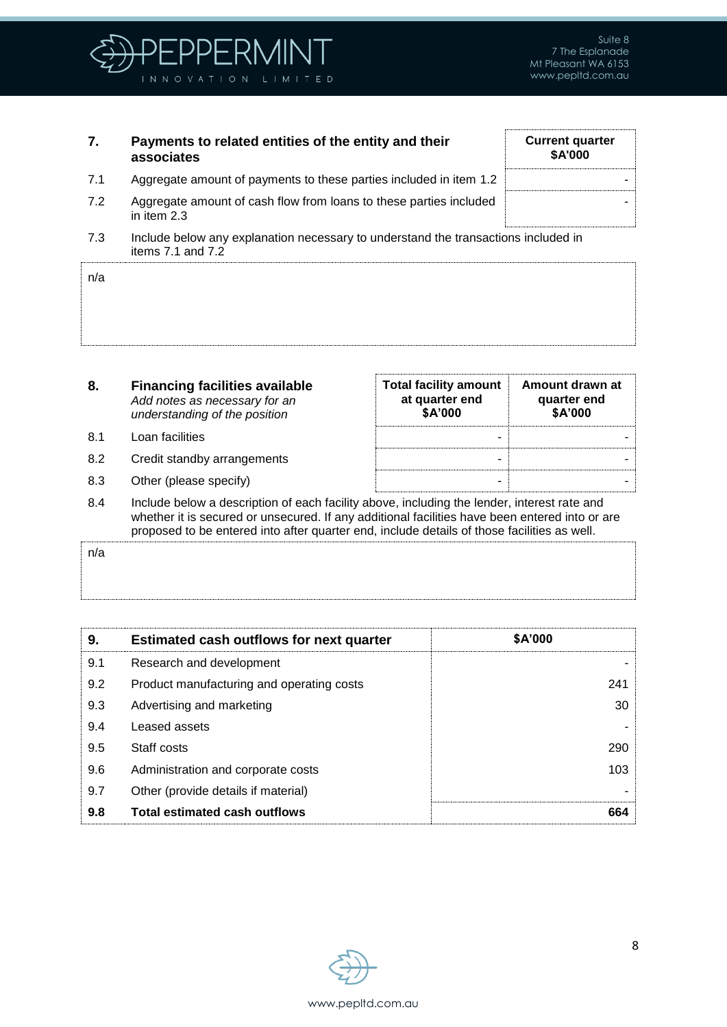

**Current quarter \$A'000**

-

## **7. Payments to related entities of the entity and their associates**

- 7.1 Aggregate amount of payments to these parties included in item 1.2
- 7.2 Aggregate amount of cash flow from loans to these parties included in item 2.3
- 7.3 Include below any explanation necessary to understand the transactions included in items 7.1 and 7.2

| n/a   |  |  |  |
|-------|--|--|--|
|       |  |  |  |
|       |  |  |  |
| .<br> |  |  |  |

- **8. Financing facilities available** *Add notes as necessary for an understanding of the position*
- 8.1 Loan facilities
- 8.2 Credit standby arrangements
- 8.3 Other (please specify)

| <b>Total facility amount</b><br>at quarter end<br>\$A'000 | Amount drawn at<br>quarter end<br>\$A'000 |
|-----------------------------------------------------------|-------------------------------------------|
|                                                           |                                           |
|                                                           |                                           |
|                                                           |                                           |

8.4 Include below a description of each facility above, including the lender, interest rate and whether it is secured or unsecured. If any additional facilities have been entered into or are proposed to be entered into after quarter end, include details of those facilities as well.

| n/a |  |
|-----|--|
|     |  |
|     |  |

| 9.  | <b>Estimated cash outflows for next quarter</b> | <b>\$A'000</b> |
|-----|-------------------------------------------------|----------------|
| 9.1 | Research and development                        |                |
| 9.2 | Product manufacturing and operating costs       | 241            |
| 9.3 | Advertising and marketing                       | 30             |
| 9.4 | Leased assets                                   |                |
| 9.5 | Staff costs                                     | 290            |
| 9.6 | Administration and corporate costs              | 103            |
| 9.7 | Other (provide details if material)             |                |
| 9.8 | <b>Total estimated cash outflows</b>            | 664            |